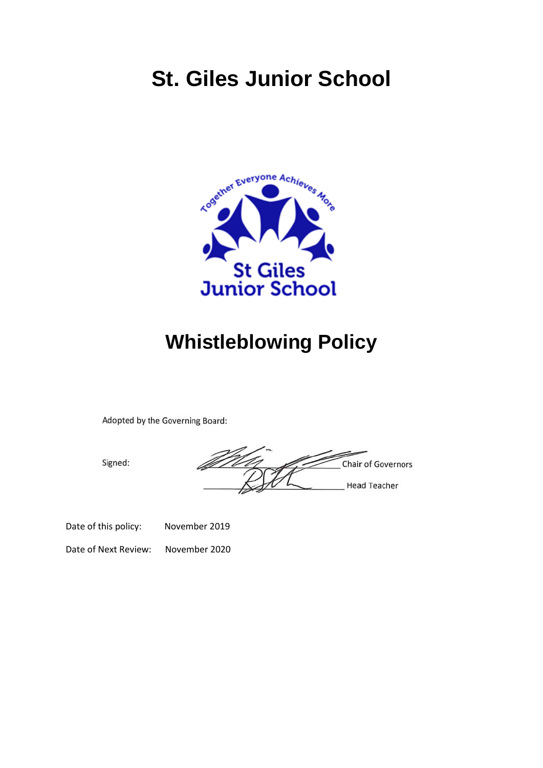# **St. Giles Junior School**



## **Whistleblowing Policy**

Adopted by the Governing Board:

Signed:

**Chair of Governors Head Teacher** 

Date of this policy: November 2019

Date of Next Review: November 2020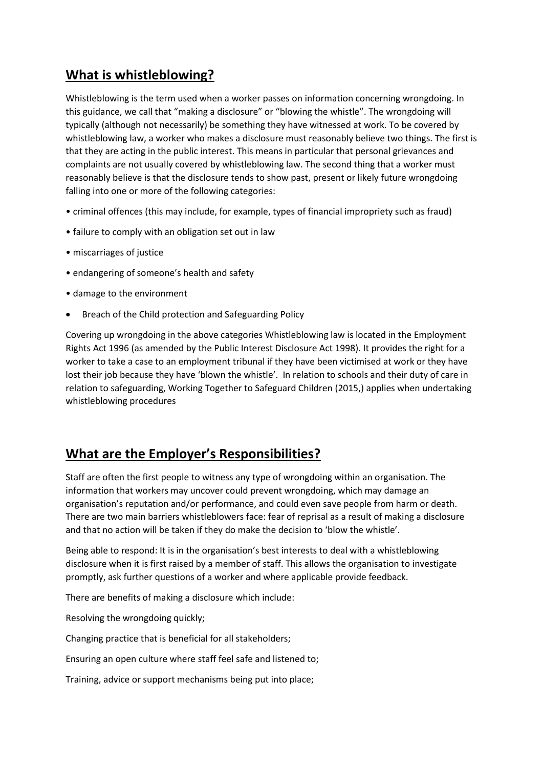### **What is whistleblowing?**

Whistleblowing is the term used when a worker passes on information concerning wrongdoing. In this guidance, we call that "making a disclosure" or "blowing the whistle". The wrongdoing will typically (although not necessarily) be something they have witnessed at work. To be covered by whistleblowing law, a worker who makes a disclosure must reasonably believe two things. The first is that they are acting in the public interest. This means in particular that personal grievances and complaints are not usually covered by whistleblowing law. The second thing that a worker must reasonably believe is that the disclosure tends to show past, present or likely future wrongdoing falling into one or more of the following categories:

- criminal offences (this may include, for example, types of financial impropriety such as fraud)
- failure to comply with an obligation set out in law
- miscarriages of justice
- endangering of someone's health and safety
- damage to the environment
- Breach of the Child protection and Safeguarding Policy

Covering up wrongdoing in the above categories Whistleblowing law is located in the Employment Rights Act 1996 (as amended by the Public Interest Disclosure Act 1998). It provides the right for a worker to take a case to an employment tribunal if they have been victimised at work or they have lost their job because they have 'blown the whistle'. In relation to schools and their duty of care in relation to safeguarding, Working Together to Safeguard Children (2015,) applies when undertaking whistleblowing procedures

#### **What are the Employer's Responsibilities?**

Staff are often the first people to witness any type of wrongdoing within an organisation. The information that workers may uncover could prevent wrongdoing, which may damage an organisation's reputation and/or performance, and could even save people from harm or death. There are two main barriers whistleblowers face: fear of reprisal as a result of making a disclosure and that no action will be taken if they do make the decision to 'blow the whistle'.

Being able to respond: It is in the organisation's best interests to deal with a whistleblowing disclosure when it is first raised by a member of staff. This allows the organisation to investigate promptly, ask further questions of a worker and where applicable provide feedback.

There are benefits of making a disclosure which include:

Resolving the wrongdoing quickly;

Changing practice that is beneficial for all stakeholders;

Ensuring an open culture where staff feel safe and listened to;

Training, advice or support mechanisms being put into place;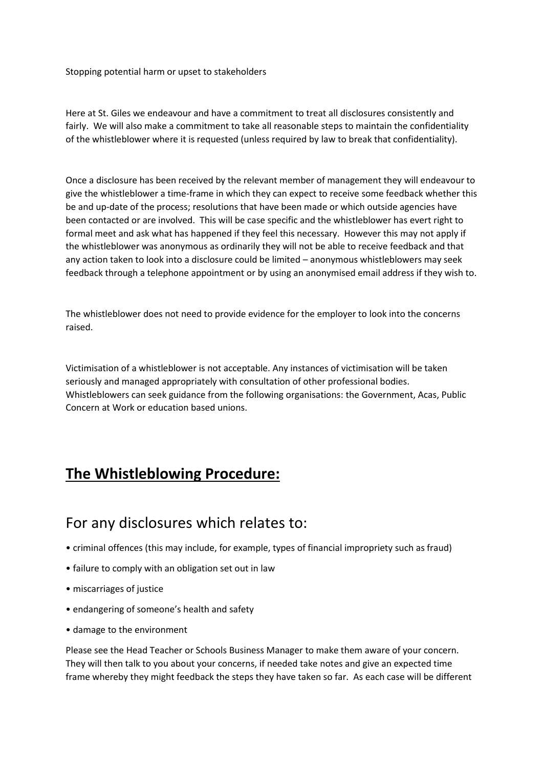Stopping potential harm or upset to stakeholders

Here at St. Giles we endeavour and have a commitment to treat all disclosures consistently and fairly. We will also make a commitment to take all reasonable steps to maintain the confidentiality of the whistleblower where it is requested (unless required by law to break that confidentiality).

Once a disclosure has been received by the relevant member of management they will endeavour to give the whistleblower a time-frame in which they can expect to receive some feedback whether this be and up-date of the process; resolutions that have been made or which outside agencies have been contacted or are involved. This will be case specific and the whistleblower has evert right to formal meet and ask what has happened if they feel this necessary. However this may not apply if the whistleblower was anonymous as ordinarily they will not be able to receive feedback and that any action taken to look into a disclosure could be limited – anonymous whistleblowers may seek feedback through a telephone appointment or by using an anonymised email address if they wish to.

The whistleblower does not need to provide evidence for the employer to look into the concerns raised.

Victimisation of a whistleblower is not acceptable. Any instances of victimisation will be taken seriously and managed appropriately with consultation of other professional bodies. Whistleblowers can seek guidance from the following organisations: the Government, Acas, Public Concern at Work or education based unions.

## **The Whistleblowing Procedure:**

## For any disclosures which relates to:

- criminal offences (this may include, for example, types of financial impropriety such as fraud)
- failure to comply with an obligation set out in law
- miscarriages of justice
- endangering of someone's health and safety
- damage to the environment

Please see the Head Teacher or Schools Business Manager to make them aware of your concern. They will then talk to you about your concerns, if needed take notes and give an expected time frame whereby they might feedback the steps they have taken so far. As each case will be different